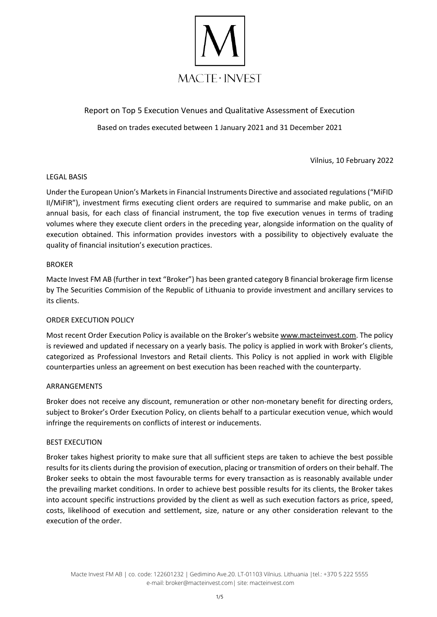

Report on Top 5 Execution Venues and Qualitative Assessment of Execution Based on trades executed between 1 January 2021 and 31 December 2021

Vilnius, 10 February 2022

## LEGAL BASIS

Under the European Union's Markets in Financial Instruments Directive and associated regulations ("MiFID II/MiFIR"), investment firms executing client orders are required to summarise and make public, on an annual basis, for each class of financial instrument, the top five execution venues in terms of trading volumes where they execute client orders in the preceding year, alongside information on the quality of execution obtained. This information provides investors with a possibility to objectively evaluate the quality of financial insitution's execution practices.

### BROKER

Macte Invest FM AB (further in text "Broker") has been granted category B financial brokerage firm license by The Securities Commision of the Republic of Lithuania to provide investment and ancillary services to its clients.

## ORDER EXECUTION POLICY

Most recent Order Execution Policy is available on the Broker's website [www.macteinvest.com.](http://www.macteinvest.com/) The policy is reviewed and updated if necessary on a yearly basis. The policy is applied in work with Broker's clients, categorized as Professional Investors and Retail clients. This Policy is not applied in work with Eligible counterparties unless an agreement on best execution has been reached with the counterparty.

#### ARRANGEMENTS

Broker does not receive any discount, remuneration or other non-monetary benefit for directing orders, subject to Broker's Order Execution Policy, on clients behalf to a particular execution venue, which would infringe the requirements on conflicts of interest or inducements.

#### BEST EXECUTION

Broker takes highest priority to make sure that all sufficient steps are taken to achieve the best possible results for its clients during the provision of execution, placing or transmition of orders on their behalf. The Broker seeks to obtain the most favourable terms for every transaction as is reasonably available under the prevailing market conditions. In order to achieve best possible results for its clients, the Broker takes into account specific instructions provided by the client as well as such execution factors as price, speed, costs, likelihood of execution and settlement, size, nature or any other consideration relevant to the execution of the order.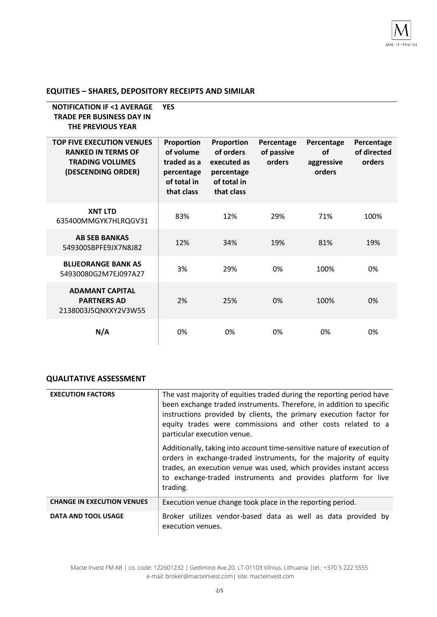# **EQUITIES – SHARES, DEPOSITORY RECEIPTS AND SIMILAR**

| <b>NOTIFICATION IF &lt;1 AVERAGE</b><br><b>TRADE PER BUSINESS DAY IN</b><br><b>THE PREVIOUS YEAR</b><br><b>TOP FIVE EXECUTION VENUES</b><br><b>RANKED IN TERMS OF</b><br><b>TRADING VOLUMES</b><br>(DESCENDING ORDER) | <b>YES</b><br>Proportion<br>of volume<br>traded as a<br>percentage<br>of total in<br>that class | Proportion<br>of orders<br>executed as<br>percentage<br>of total in<br>that class | Percentage<br>of passive<br>orders | Percentage<br>of<br>aggressive<br>orders | Percentage<br>of directed<br>orders |
|-----------------------------------------------------------------------------------------------------------------------------------------------------------------------------------------------------------------------|-------------------------------------------------------------------------------------------------|-----------------------------------------------------------------------------------|------------------------------------|------------------------------------------|-------------------------------------|
|                                                                                                                                                                                                                       |                                                                                                 |                                                                                   |                                    |                                          |                                     |
| <b>XNT LTD</b><br>635400MMGYK7HLRQGV31                                                                                                                                                                                | 83%                                                                                             | 12%                                                                               | 29%                                | 71%                                      | 100%                                |
| <b>AB SEB BANKAS</b><br>549300SBPFE9JX7N8J82                                                                                                                                                                          | 12%                                                                                             | 34%                                                                               | 19%                                | 81%                                      | 19%                                 |
| <b>BLUEORANGE BANK AS</b><br>54930080G2M7EJ097A27                                                                                                                                                                     | 3%                                                                                              | 29%                                                                               | 0%                                 | 100%                                     | 0%                                  |
| <b>ADAMANT CAPITAL</b><br><b>PARTNERS AD</b><br>2138003J5QNXXY2V3W55                                                                                                                                                  | 2%                                                                                              | 25%                                                                               | 0%                                 | 100%                                     | 0%                                  |
| N/A                                                                                                                                                                                                                   | 0%                                                                                              | 0%                                                                                | 0%                                 | 0%                                       | 0%                                  |

# **QUALITATIVE ASSESSMENT**

| <b>EXECUTION FACTORS</b>          | The vast majority of equities traded during the reporting period have<br>been exchange traded instruments. Therefore, in addition to specific<br>instructions provided by clients, the primary execution factor for<br>equity trades were commissions and other costs related to a<br>particular execution venue. |
|-----------------------------------|-------------------------------------------------------------------------------------------------------------------------------------------------------------------------------------------------------------------------------------------------------------------------------------------------------------------|
|                                   | Additionally, taking into account time-sensitive nature of execution of<br>orders in exchange-traded instruments, for the majority of equity<br>trades, an execution venue was used, which provides instant access<br>to exchange-traded instruments and provides platform for live<br>trading.                   |
| <b>CHANGE IN EXECUTION VENUES</b> | Execution venue change took place in the reporting period.                                                                                                                                                                                                                                                        |
| <b>DATA AND TOOL USAGE</b>        | Broker utilizes vendor-based data as well as data provided by<br>execution venues.                                                                                                                                                                                                                                |

Macte Invest FM AB | co. code: 122601232 | Gedimino Ave.20. LT-01103 Vilnius. Lithuania |tel.: +370 5 222 5555 e-mail: broker@macteinvest.com| site: macteinvest.com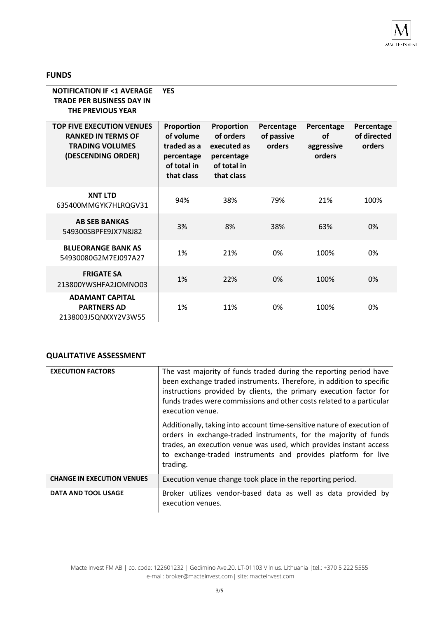

### **FUNDS**

| <b>NOTIFICATION IF &lt;1 AVERAGE</b><br><b>TRADE PER BUSINESS DAY IN</b><br><b>THE PREVIOUS YEAR</b>          | <b>YES</b>                                                                        |                                                                                   |                                    |                                          |                                     |
|---------------------------------------------------------------------------------------------------------------|-----------------------------------------------------------------------------------|-----------------------------------------------------------------------------------|------------------------------------|------------------------------------------|-------------------------------------|
| <b>TOP FIVE EXECUTION VENUES</b><br><b>RANKED IN TERMS OF</b><br><b>TRADING VOLUMES</b><br>(DESCENDING ORDER) | Proportion<br>of volume<br>traded as a<br>percentage<br>of total in<br>that class | Proportion<br>of orders<br>executed as<br>percentage<br>of total in<br>that class | Percentage<br>of passive<br>orders | Percentage<br>of<br>aggressive<br>orders | Percentage<br>of directed<br>orders |
| <b>XNT LTD</b><br>635400MMGYK7HLRQGV31                                                                        | 94%                                                                               | 38%                                                                               | 79%                                | 21%                                      | 100%                                |
| <b>AB SEB BANKAS</b><br>549300SBPFE9JX7N8J82                                                                  | 3%                                                                                | 8%                                                                                | 38%                                | 63%                                      | 0%                                  |
| <b>BLUEORANGE BANK AS</b><br>54930080G2M7EJ097A27                                                             | 1%                                                                                | 21%                                                                               | 0%                                 | 100%                                     | 0%                                  |
| <b>FRIGATE SA</b><br>213800YWSHFA2JOMNO03                                                                     | 1%                                                                                | 22%                                                                               | 0%                                 | 100%                                     | 0%                                  |
| <b>ADAMANT CAPITAL</b><br><b>PARTNERS AD</b><br>2138003J5QNXXY2V3W55                                          | 1%                                                                                | 11%                                                                               | 0%                                 | 100%                                     | 0%                                  |

## **QUALITATIVE ASSESSMENT**

| <b>EXECUTION FACTORS</b>          | The vast majority of funds traded during the reporting period have<br>been exchange traded instruments. Therefore, in addition to specific<br>instructions provided by clients, the primary execution factor for<br>funds trades were commissions and other costs related to a particular<br>execution venue. |
|-----------------------------------|---------------------------------------------------------------------------------------------------------------------------------------------------------------------------------------------------------------------------------------------------------------------------------------------------------------|
|                                   | Additionally, taking into account time-sensitive nature of execution of<br>orders in exchange-traded instruments, for the majority of funds<br>trades, an execution venue was used, which provides instant access<br>to exchange-traded instruments and provides platform for live<br>trading.                |
| <b>CHANGE IN EXECUTION VENUES</b> | Execution venue change took place in the reporting period.                                                                                                                                                                                                                                                    |
| <b>DATA AND TOOL USAGE</b>        | Broker utilizes vendor-based data as well as data provided by<br>execution venues.                                                                                                                                                                                                                            |

Macte Invest FM AB | co. code: 122601232 | Gedimino Ave.20. LT-01103 Vilnius. Lithuania |tel.: +370 5 222 5555 e-mail: broker@macteinvest.com| site: macteinvest.com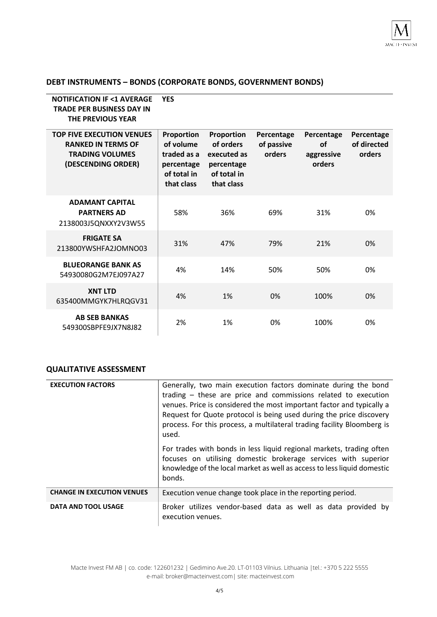# **DEBT INSTRUMENTS – BONDS (CORPORATE BONDS, GOVERNMENT BONDS)**

| <b>NOTIFICATION IF &lt;1 AVERAGE</b><br><b>TRADE PER BUSINESS DAY IN</b><br><b>THE PREVIOUS YEAR</b>          | <b>YES</b>                                                                        |                                                                                   |                                    |                                          |                                     |
|---------------------------------------------------------------------------------------------------------------|-----------------------------------------------------------------------------------|-----------------------------------------------------------------------------------|------------------------------------|------------------------------------------|-------------------------------------|
| <b>TOP FIVE EXECUTION VENUES</b><br><b>RANKED IN TERMS OF</b><br><b>TRADING VOLUMES</b><br>(DESCENDING ORDER) | Proportion<br>of volume<br>traded as a<br>percentage<br>of total in<br>that class | Proportion<br>of orders<br>executed as<br>percentage<br>of total in<br>that class | Percentage<br>of passive<br>orders | Percentage<br>of<br>aggressive<br>orders | Percentage<br>of directed<br>orders |
| <b>ADAMANT CAPITAL</b><br><b>PARTNERS AD</b><br>2138003J5QNXXY2V3W55                                          | 58%                                                                               | 36%                                                                               | 69%                                | 31%                                      | 0%                                  |
| <b>FRIGATE SA</b><br>213800YWSHFA2JOMNO03                                                                     | 31%                                                                               | 47%                                                                               | 79%                                | 21%                                      | 0%                                  |
| <b>BLUEORANGE BANK AS</b><br>54930080G2M7EJ097A27                                                             | 4%                                                                                | 14%                                                                               | 50%                                | 50%                                      | 0%                                  |
| <b>XNT LTD</b><br>635400MMGYK7HLRQGV31                                                                        | 4%                                                                                | 1%                                                                                | 0%                                 | 100%                                     | 0%                                  |
| <b>AB SEB BANKAS</b><br>549300SBPFE9JX7N8J82                                                                  | 2%                                                                                | 1%                                                                                | 0%                                 | 100%                                     | 0%                                  |

### **QUALITATIVE ASSESSMENT**

| <b>EXECUTION FACTORS</b>          | Generally, two main execution factors dominate during the bond<br>trading - these are price and commissions related to execution<br>venues. Price is considered the most important factor and typically a<br>Request for Quote protocol is being used during the price discovery<br>process. For this process, a multilateral trading facility Bloomberg is<br>used. |
|-----------------------------------|----------------------------------------------------------------------------------------------------------------------------------------------------------------------------------------------------------------------------------------------------------------------------------------------------------------------------------------------------------------------|
|                                   | For trades with bonds in less liquid regional markets, trading often<br>focuses on utilising domestic brokerage services with superior<br>knowledge of the local market as well as access to less liquid domestic<br>bonds.                                                                                                                                          |
| <b>CHANGE IN EXECUTION VENUES</b> | Execution venue change took place in the reporting period.                                                                                                                                                                                                                                                                                                           |
| DATA AND TOOL USAGE               | Broker utilizes vendor-based data as well as data provided by<br>execution venues.                                                                                                                                                                                                                                                                                   |